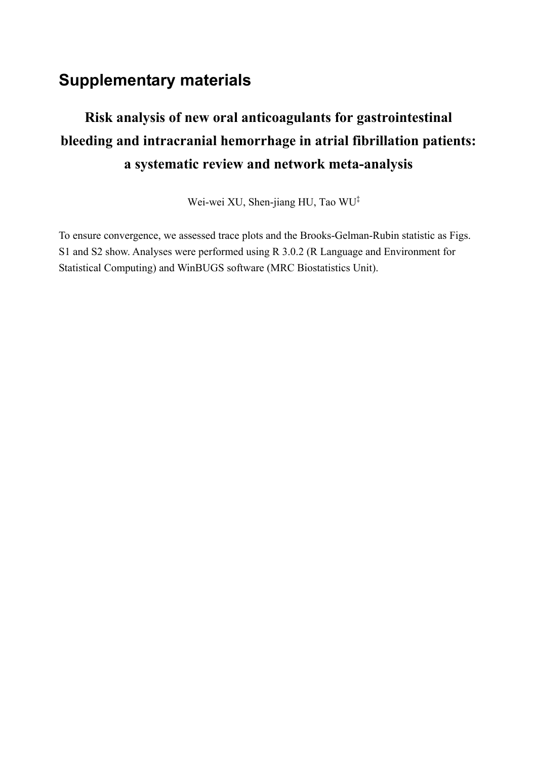# **Supplementary materials**

# **Risk analysis of new oral anticoagulants for gastrointestinal bleeding and intracranial hemorrhage in atrial fibrillation patients: a systematic review and network meta-analysis**

Wei-wei XU, Shen-jiang HU, Tao WU‡

To ensure convergence, we assessed trace plots and the Brooks-Gelman-Rubin statistic as Figs. S1 and S2 show. Analyses were performed using R 3.0.2 (R Language and Environment for Statistical Computing) and WinBUGS software (MRC Biostatistics Unit).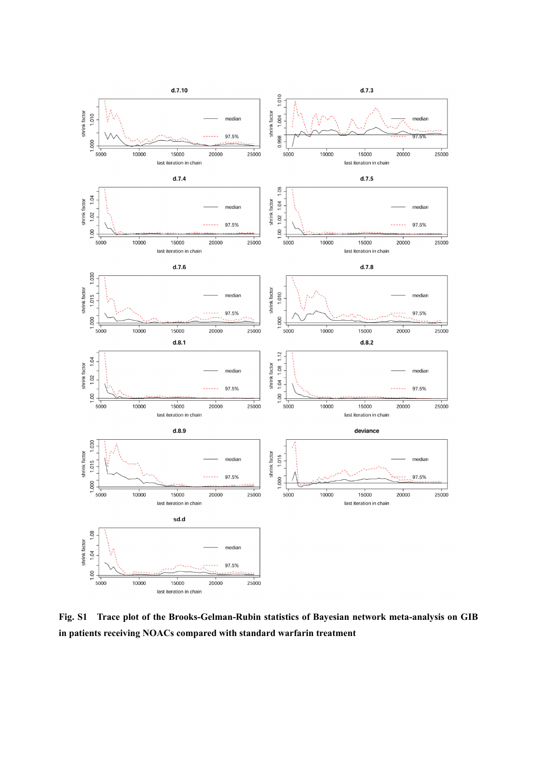

**Fig. S1 Trace plot of the Brooks-Gelman-Rubin statistics of Bayesian network meta-analysis on GIB in patients receiving NOACs compared with standard warfarin treatment**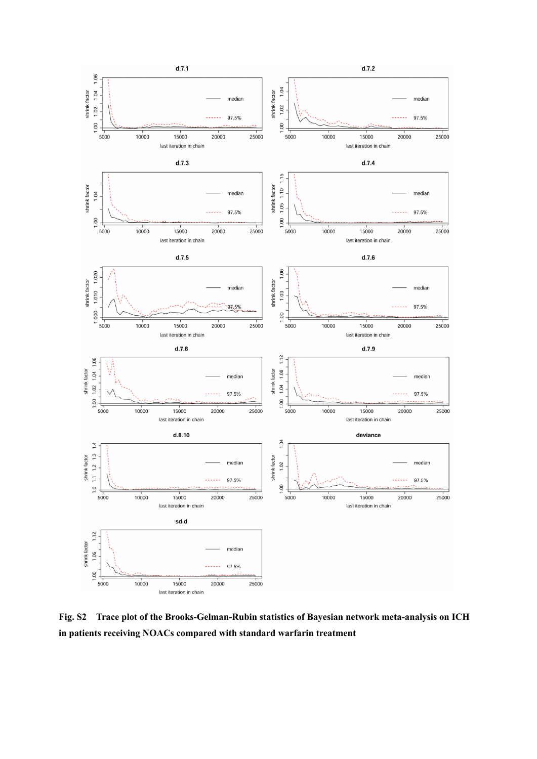

**Fig. S2 Trace plot of the Brooks-Gelman-Rubin statistics of Bayesian network meta-analysis on ICH in patients receiving NOACs compared with standard warfarin treatment**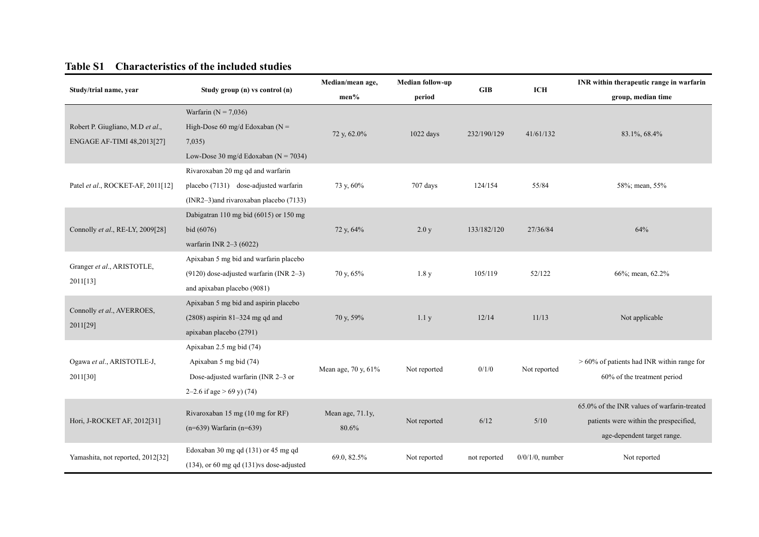#### **Table S1 Characteristics of the included studies**

|                                                                                                 |                                                | Median/mean age,<br>Median follow-up                                                                                                                                                                                                                                                                                                                                                                                                            |              |              |                    | INR within therapeutic range in warfarin      |  |
|-------------------------------------------------------------------------------------------------|------------------------------------------------|-------------------------------------------------------------------------------------------------------------------------------------------------------------------------------------------------------------------------------------------------------------------------------------------------------------------------------------------------------------------------------------------------------------------------------------------------|--------------|--------------|--------------------|-----------------------------------------------|--|
| Study/trial name, year                                                                          | Study group (n) vs control (n)                 | men%                                                                                                                                                                                                                                                                                                                                                                                                                                            | period       |              |                    | group, median time                            |  |
|                                                                                                 | Warfarin ( $N = 7,036$ )                       |                                                                                                                                                                                                                                                                                                                                                                                                                                                 |              |              |                    |                                               |  |
| Robert P. Giugliano, M.D et al.,                                                                | High-Dose 60 mg/d Edoxaban ( $N =$             |                                                                                                                                                                                                                                                                                                                                                                                                                                                 | 1022 days    | 232/190/129  |                    |                                               |  |
| ENGAGE AF-TIMI 48,2013[27]                                                                      | 7,035                                          |                                                                                                                                                                                                                                                                                                                                                                                                                                                 |              |              |                    |                                               |  |
|                                                                                                 | Low-Dose 30 mg/d Edoxaban ( $N = 7034$ )       |                                                                                                                                                                                                                                                                                                                                                                                                                                                 |              |              |                    |                                               |  |
|                                                                                                 | Rivaroxaban 20 mg qd and warfarin              |                                                                                                                                                                                                                                                                                                                                                                                                                                                 |              |              |                    |                                               |  |
| Patel et al., ROCKET-AF, 2011[12]                                                               | placebo (7131) dose-adjusted warfarin          | 73 y, 60%                                                                                                                                                                                                                                                                                                                                                                                                                                       | 707 days     | 124/154      | 55/84              | 58%; mean, 55%                                |  |
|                                                                                                 | (INR2-3)and rivaroxaban placebo (7133)         | <b>GIB</b><br><b>ICH</b><br>72 y, 62.0%<br>41/61/132<br>83.1%, 68.4%<br>133/182/120<br>27/36/84<br>64%<br>72 y, 64%<br>2.0 y<br>70 y, 65%<br>1.8y<br>105/119<br>52/122<br>66%; mean, 62.2%<br>70 y, 59%<br>11/13<br>Not applicable<br>1.1 y<br>12/14<br>Mean age, 70 y, 61%<br>Not reported<br>0/1/0<br>Not reported<br>60% of the treatment period<br>Mean age, 71.1y,<br>6/12<br>5/10<br>Not reported<br>80.6%<br>age-dependent target range. |              |              |                    |                                               |  |
|                                                                                                 | Dabigatran 110 mg bid (6015) or 150 mg         |                                                                                                                                                                                                                                                                                                                                                                                                                                                 |              |              |                    |                                               |  |
| Connolly et al., RE-LY, 2009[28]                                                                | bid (6076)                                     |                                                                                                                                                                                                                                                                                                                                                                                                                                                 |              |              |                    |                                               |  |
|                                                                                                 | warfarin INR 2-3 (6022)                        |                                                                                                                                                                                                                                                                                                                                                                                                                                                 |              |              |                    |                                               |  |
|                                                                                                 | Apixaban 5 mg bid and warfarin placebo         |                                                                                                                                                                                                                                                                                                                                                                                                                                                 |              |              |                    |                                               |  |
|                                                                                                 | $(9120)$ dose-adjusted warfarin (INR 2-3)      |                                                                                                                                                                                                                                                                                                                                                                                                                                                 |              |              |                    |                                               |  |
| 2011[13]                                                                                        | and apixaban placebo (9081)                    |                                                                                                                                                                                                                                                                                                                                                                                                                                                 |              |              |                    |                                               |  |
|                                                                                                 | Apixaban 5 mg bid and aspirin placebo          |                                                                                                                                                                                                                                                                                                                                                                                                                                                 |              |              |                    |                                               |  |
|                                                                                                 | $(2808)$ aspirin 81-324 mg qd and              |                                                                                                                                                                                                                                                                                                                                                                                                                                                 |              |              |                    |                                               |  |
| Granger et al., ARISTOTLE,<br>Connolly et al., AVERROES,<br>2011[29]<br>apixaban placebo (2791) |                                                |                                                                                                                                                                                                                                                                                                                                                                                                                                                 |              |              |                    |                                               |  |
|                                                                                                 | Apixaban 2.5 mg bid (74)                       |                                                                                                                                                                                                                                                                                                                                                                                                                                                 |              |              |                    |                                               |  |
| Ogawa et al., ARISTOTLE-J,                                                                      | Apixaban 5 mg bid (74)                         |                                                                                                                                                                                                                                                                                                                                                                                                                                                 |              |              |                    | $> 60\%$ of patients had INR within range for |  |
| 2011[30]                                                                                        | Dose-adjusted warfarin (INR 2-3 or             |                                                                                                                                                                                                                                                                                                                                                                                                                                                 |              |              |                    |                                               |  |
|                                                                                                 | 2–2.6 if age $>$ 69 y) (74)                    |                                                                                                                                                                                                                                                                                                                                                                                                                                                 |              |              |                    |                                               |  |
|                                                                                                 | Rivaroxaban 15 mg (10 mg for RF)               |                                                                                                                                                                                                                                                                                                                                                                                                                                                 |              |              |                    | 65.0% of the INR values of warfarin-treated   |  |
| Hori, J-ROCKET AF, 2012[31]                                                                     | $(n=639)$ Warfarin $(n=639)$                   |                                                                                                                                                                                                                                                                                                                                                                                                                                                 |              |              |                    | patients were within the prespecified,        |  |
|                                                                                                 |                                                |                                                                                                                                                                                                                                                                                                                                                                                                                                                 |              |              |                    |                                               |  |
|                                                                                                 | Edoxaban 30 mg qd (131) or 45 mg qd            |                                                                                                                                                                                                                                                                                                                                                                                                                                                 |              |              |                    |                                               |  |
| Yamashita, not reported, 2012[32]                                                               | $(134)$ , or 60 mg qd $(131)$ vs dose-adjusted | 69.0, 82.5%                                                                                                                                                                                                                                                                                                                                                                                                                                     | Not reported | not reported | $0/0/1/0$ , number | Not reported                                  |  |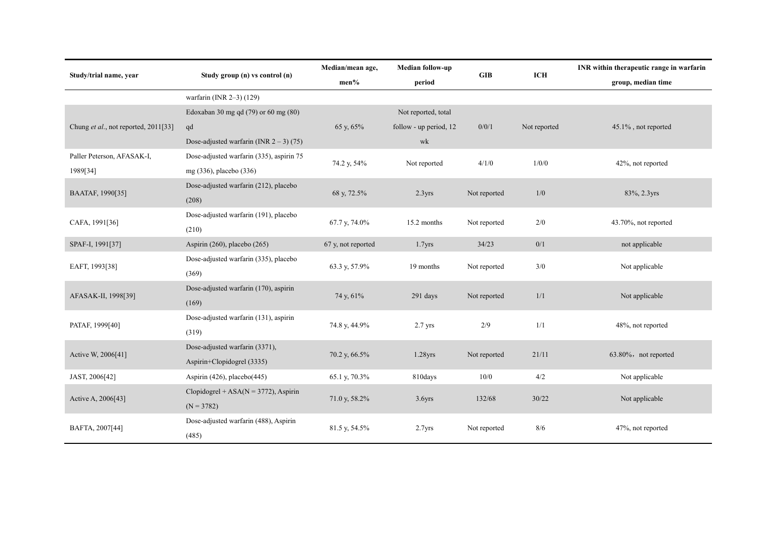|                                      |                                                | Median/mean age,<br>Median follow-up |                        |              |              | INR within therapeutic range in warfarin |  |  |
|--------------------------------------|------------------------------------------------|--------------------------------------|------------------------|--------------|--------------|------------------------------------------|--|--|
| Study/trial name, year               | Study group (n) vs control (n)                 | men%                                 | GIB<br>period          |              | <b>ICH</b>   | group, median time                       |  |  |
|                                      | warfarin (INR 2-3) (129)                       |                                      |                        |              |              |                                          |  |  |
|                                      | Edoxaban 30 mg qd (79) or 60 mg (80)           |                                      | Not reported, total    |              |              |                                          |  |  |
| Chung et al., not reported, 2011[33] | qd                                             | 65 y, 65%                            | follow - up period, 12 | 0/0/1        | Not reported | 45.1%, not reported                      |  |  |
|                                      | Dose-adjusted warfarin (INR $2 - 3$ ) (75)     |                                      | wk                     |              |              |                                          |  |  |
| Paller Peterson, AFASAK-I,           | Dose-adjusted warfarin (335), aspirin 75       |                                      |                        |              |              |                                          |  |  |
| 1989[34]                             | mg (336), placebo (336)                        | 74.2 y, 54%                          | Not reported           | 4/1/0        | 1/0/0        | 42%, not reported                        |  |  |
| BAATAF, 1990[35]                     | Dose-adjusted warfarin (212), placebo<br>(208) | 68 y, 72.5%                          | 2.3 <sub>yrs</sub>     | Not reported | 1/0          | 83%, 2.3yrs                              |  |  |
| CAFA, 1991[36]                       | Dose-adjusted warfarin (191), placebo          | 67.7 y, 74.0%                        | 15.2 months            | Not reported | 2/0          | 43.70%, not reported                     |  |  |
|                                      | (210)                                          |                                      |                        |              |              |                                          |  |  |
| SPAF-I, 1991[37]                     | Aspirin (260), placebo (265)                   | 67 y, not reported                   | 1.7 <sub>yrs</sub>     | 34/23        | 0/1          | not applicable                           |  |  |
| EAFT, 1993[38]                       | Dose-adjusted warfarin (335), placebo          | 63.3 y, 57.9%                        | 19 months              | Not reported | 3/0          | Not applicable                           |  |  |
|                                      | (369)                                          |                                      |                        |              |              |                                          |  |  |
| AFASAK-II, 1998[39]                  | Dose-adjusted warfarin (170), aspirin<br>(169) | 74 y, 61%                            | 291 days               | Not reported | 1/1          | Not applicable                           |  |  |
| PATAF, 1999[40]                      | Dose-adjusted warfarin (131), aspirin          | 74.8 y, 44.9%                        | $2.7$ yrs              | 2/9          | 1/1          | 48%, not reported                        |  |  |
|                                      | (319)                                          |                                      |                        |              |              |                                          |  |  |
| Active W, 2006[41]                   | Dose-adjusted warfarin (3371),                 | 70.2 y, 66.5%                        | $1.28$ yrs             | Not reported | 21/11        | 63.80%, not reported                     |  |  |
|                                      | Aspirin+Clopidogrel (3335)                     |                                      |                        |              |              |                                          |  |  |
| JAST, 2006[42]                       | Aspirin (426), placebo(445)                    | 65.1 y, 70.3%                        | 810days                | 10/0         | 4/2          | Not applicable                           |  |  |
|                                      | Clopidogrel + ASA( $N = 3772$ ), Aspirin       | 71.0 y, 58.2%                        | 3.6 <sub>yrs</sub>     | 132/68       | 30/22        | Not applicable                           |  |  |
| Active A, 2006[43]                   | $(N = 3782)$                                   |                                      |                        |              |              |                                          |  |  |
| BAFTA, 2007[44]                      | Dose-adjusted warfarin (488), Aspirin<br>(485) | 81.5 y, 54.5%                        | 2.7 <sub>Yrs</sub>     | Not reported | 8/6          | 47%, not reported                        |  |  |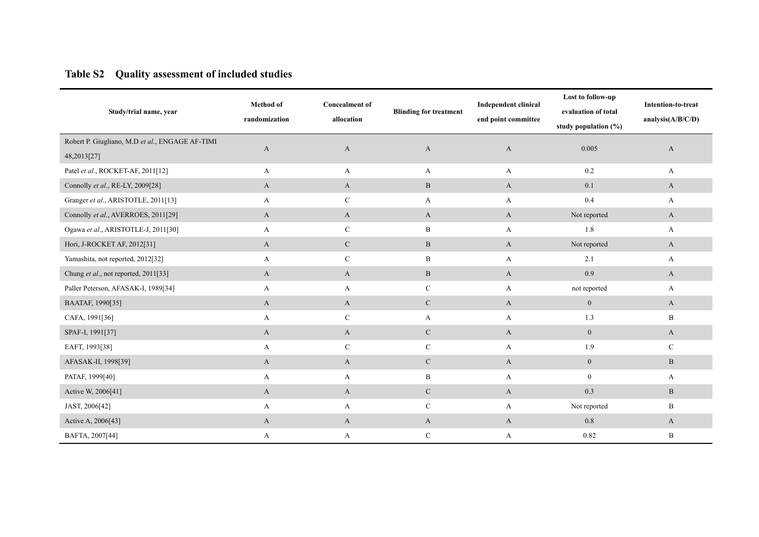# **Table S2 Quality assessment of included studies**

| Study/trial name, year                                         | <b>Method</b> of<br>randomization | <b>Concealment of</b><br>allocation | <b>Blinding for treatment</b> | <b>Independent clinical</b><br>end point committee | Lost to follow-up<br>evaluation of total<br>study population (%) | Intention-to-treat<br>analysis $(A/B/C/D)$ |
|----------------------------------------------------------------|-----------------------------------|-------------------------------------|-------------------------------|----------------------------------------------------|------------------------------------------------------------------|--------------------------------------------|
| Robert P. Giugliano, M.D et al., ENGAGE AF-TIMI<br>48,2013[27] | $\mathbf{A}$                      | $\mathbf{A}$                        | A                             | $\mathbf{A}$                                       | 0.005                                                            | A                                          |
| Patel et al., ROCKET-AF, 2011[12]                              | A                                 | A                                   | A                             | A                                                  | $0.2\,$                                                          | A                                          |
| Connolly et al., RE-LY, 2009[28]                               | A                                 | $\mathbf{A}$                        | $\mathbf B$                   | A                                                  | 0.1                                                              | A                                          |
| Granger et al., ARISTOTLE, 2011[13]                            | A                                 | $\mathcal{C}$                       | A                             | A                                                  | $0.4\,$                                                          | $\mathbf{A}$                               |
| Connolly et al., AVERROES, 2011[29]                            | A                                 | $\mathbf{A}$                        | A                             | $\mathbf{A}$                                       | Not reported                                                     | $\mathbf{A}$                               |
| Ogawa et al., ARISTOTLE-J, 2011[30]                            | A                                 | $\mathbf C$                         | $\, {\bf B}$                  | A                                                  | $1.8\,$                                                          | $\mathbf{A}$                               |
| Hori, J-ROCKET AF, 2012[31]                                    | $\mathbf{A}$                      | $\mathbf C$                         | $\, {\bf B}$                  | $\mathbf{A}$                                       | Not reported                                                     | $\mathbf{A}$                               |
| Yamashita, not reported, 2012[32]                              | A                                 | $\mathbf C$                         | B                             | A                                                  | 2.1                                                              | A                                          |
| Chung et al., not reported, 2011[33]                           | A                                 | $\mathbf{A}$                        | $\, {\bf B} \,$               | $\mathbf{A}$                                       | 0.9                                                              | $\mathbf{A}$                               |
| Paller Peterson, AFASAK-I, 1989[34]                            | A                                 | A                                   | $\mathbf C$                   | A                                                  | not reported                                                     | A                                          |
| BAATAF, 1990[35]                                               | $\mathbf{A}$                      | $\mathbf{A}$                        | $\mathbf C$                   | $\mathbf{A}$                                       | $\overline{0}$                                                   | A                                          |
| CAFA, 1991[36]                                                 | A                                 | $\mathcal{C}$                       | A                             | $\mathbf{A}$                                       | 1.3                                                              | B                                          |
| SPAF-I, 1991[37]                                               | $\mathbf{A}$                      | $\mathbf{A}$                        | $\mathbf C$                   | $\mathbf{A}$                                       | $\mathbf{0}$                                                     | $\mathbf{A}$                               |
| EAFT, 1993[38]                                                 | A                                 | $\mathbf C$                         | $\mathbf C$                   | A                                                  | 1.9                                                              | $\mathbf C$                                |
| AFASAK-II, 1998[39]                                            | $\mathbf{A}$                      | A                                   | $\mathbf{C}$                  | $\mathbf{A}$                                       | $\mathbf{0}$                                                     | $\mathbf{B}$                               |
| PATAF, 1999[40]                                                | A                                 | A                                   | B                             | A                                                  | $\mathbf{0}$                                                     | A                                          |
| Active W, 2006[41]                                             | $\mathbf{A}$                      | $\mathbf{A}$                        | ${\bf C}$                     | $\mathbf{A}$                                       | 0.3                                                              | $\, {\bf B}$                               |
| JAST, 2006[42]                                                 | A                                 | A                                   | $\mathbf C$                   | $\mathbf{A}$                                       | Not reported                                                     | $\mathbf B$                                |
| Active A, 2006[43]                                             | $\mathbf{A}$                      | $\mathbf{A}$                        | $\mathbf{A}$                  | $\mathbf{A}$                                       | $0.8\,$                                                          | $\mathbf{A}$                               |
| BAFTA, 2007[44]                                                | A                                 | A                                   | $\mathbf C$                   | A                                                  | 0.82                                                             | $\, {\bf B}$                               |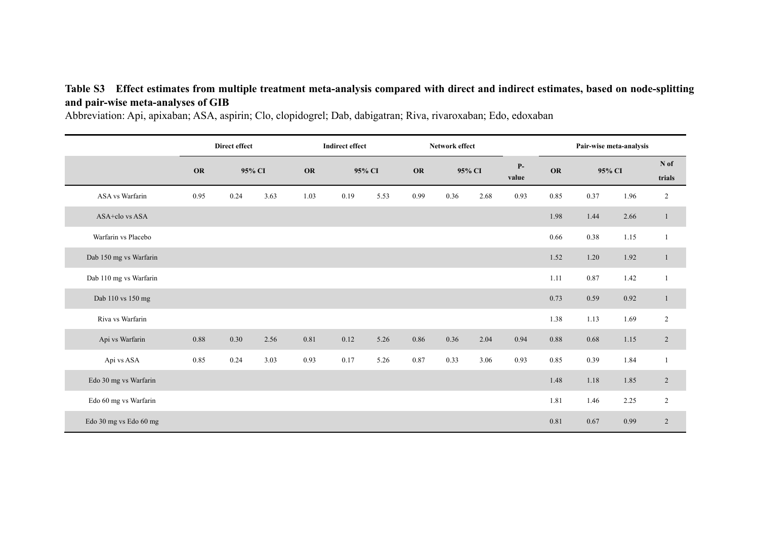# **Table S3 Effect estimates from multiple treatment meta-analysis compared with direct and indirect estimates, based on node-splitting and pair-wise meta-analyses of GIB**

Abbreviation: Api, apixaban; ASA, aspirin; Clo, clopidogrel; Dab, dabigatran; Riva, rivaroxaban; Edo, edoxaban

|                        | Direct effect |      |        | <b>Indirect effect</b> |      |        | Network effect |      |        |               | Pair-wise meta-analysis |        |      |                |
|------------------------|---------------|------|--------|------------------------|------|--------|----------------|------|--------|---------------|-------------------------|--------|------|----------------|
|                        | <b>OR</b>     |      | 95% CI | <b>OR</b>              |      | 95% CI | <b>OR</b>      |      | 95% CI | $P-$<br>value | OR                      | 95% CI |      | N of<br>trials |
| ASA vs Warfarin        | 0.95          | 0.24 | 3.63   | 1.03                   | 0.19 | 5.53   | 0.99           | 0.36 | 2.68   | 0.93          | 0.85                    | 0.37   | 1.96 | $\overline{c}$ |
| ASA+clo vs ASA         |               |      |        |                        |      |        |                |      |        |               | 1.98                    | 1.44   | 2.66 | $\mathbf{1}$   |
| Warfarin vs Placebo    |               |      |        |                        |      |        |                |      |        |               | 0.66                    | 0.38   | 1.15 | $\mathbf{1}$   |
| Dab 150 mg vs Warfarin |               |      |        |                        |      |        |                |      |        |               | 1.52                    | 1.20   | 1.92 | $\mathbf{1}$   |
| Dab 110 mg vs Warfarin |               |      |        |                        |      |        |                |      |        |               | 1.11                    | 0.87   | 1.42 | $\mathbf{1}$   |
| Dab 110 vs 150 mg      |               |      |        |                        |      |        |                |      |        |               | 0.73                    | 0.59   | 0.92 | $\mathbf{1}$   |
| Riva vs Warfarin       |               |      |        |                        |      |        |                |      |        |               | 1.38                    | 1.13   | 1.69 | $\sqrt{2}$     |
| Api vs Warfarin        | 0.88          | 0.30 | 2.56   | 0.81                   | 0.12 | 5.26   | 0.86           | 0.36 | 2.04   | 0.94          | 0.88                    | 0.68   | 1.15 | $\overline{2}$ |
| Api vs ASA             | 0.85          | 0.24 | 3.03   | 0.93                   | 0.17 | 5.26   | 0.87           | 0.33 | 3.06   | 0.93          | 0.85                    | 0.39   | 1.84 | $\mathbf{1}$   |
| Edo 30 mg vs Warfarin  |               |      |        |                        |      |        |                |      |        |               | 1.48                    | 1.18   | 1.85 | $\sqrt{2}$     |
| Edo 60 mg vs Warfarin  |               |      |        |                        |      |        |                |      |        |               | 1.81                    | 1.46   | 2.25 | $\overline{c}$ |
| Edo 30 mg vs Edo 60 mg |               |      |        |                        |      |        |                |      |        |               | 0.81                    | 0.67   | 0.99 | $\overline{2}$ |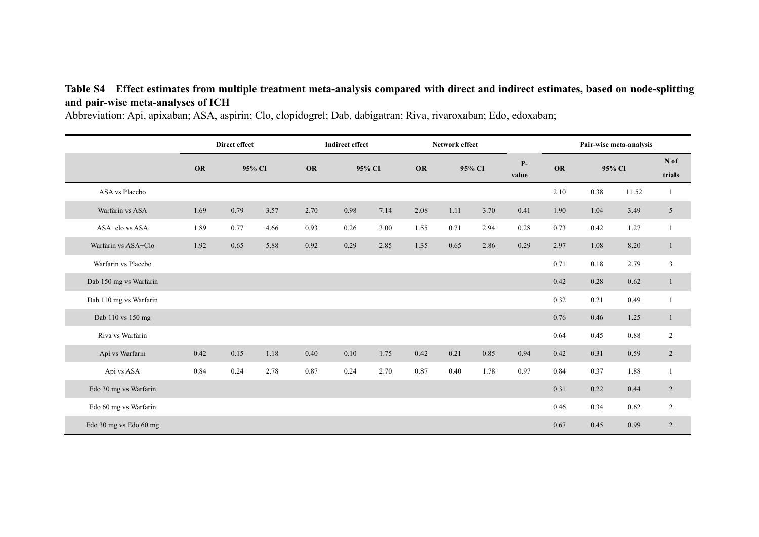# **Table S4 Effect estimates from multiple treatment meta-analysis compared with direct and indirect estimates, based on node-splitting and pair-wise meta-analyses of ICH**

Abbreviation: Api, apixaban; ASA, aspirin; Clo, clopidogrel; Dab, dabigatran; Riva, rivaroxaban; Edo, edoxaban;

|                        | Direct effect |      |        | <b>Indirect effect</b> |          |        | Network effect |      |        |               | Pair-wise meta-analysis |        |          |                |
|------------------------|---------------|------|--------|------------------------|----------|--------|----------------|------|--------|---------------|-------------------------|--------|----------|----------------|
|                        | <b>OR</b>     |      | 95% CI | <b>OR</b>              |          | 95% CI | <b>OR</b>      |      | 95% CI | $P-$<br>value | <b>OR</b>               | 95% CI |          | N of<br>trials |
| ASA vs Placebo         |               |      |        |                        |          |        |                |      |        |               | 2.10                    | 0.38   | 11.52    | 1              |
| Warfarin vs ASA        | 1.69          | 0.79 | 3.57   | 2.70                   | 0.98     | 7.14   | 2.08           | 1.11 | 3.70   | 0.41          | 1.90                    | 1.04   | 3.49     | 5              |
| ASA+clo vs ASA         | 1.89          | 0.77 | 4.66   | 0.93                   | 0.26     | 3.00   | 1.55           | 0.71 | 2.94   | 0.28          | 0.73                    | 0.42   | 1.27     |                |
| Warfarin vs ASA+Clo    | 1.92          | 0.65 | 5.88   | 0.92                   | 0.29     | 2.85   | 1.35           | 0.65 | 2.86   | 0.29          | 2.97                    | 1.08   | 8.20     | $\mathbf{1}$   |
| Warfarin vs Placebo    |               |      |        |                        |          |        |                |      |        |               | 0.71                    | 0.18   | 2.79     | $\mathbf{3}$   |
| Dab 150 mg vs Warfarin |               |      |        |                        |          |        |                |      |        |               | 0.42                    | 0.28   | 0.62     | $\mathbf{1}$   |
| Dab 110 mg vs Warfarin |               |      |        |                        |          |        |                |      |        |               | 0.32                    | 0.21   | 0.49     | 1              |
| Dab 110 vs 150 mg      |               |      |        |                        |          |        |                |      |        |               | 0.76                    | 0.46   | 1.25     | $\mathbf{1}$   |
| Riva vs Warfarin       |               |      |        |                        |          |        |                |      |        |               | 0.64                    | 0.45   | $0.88\,$ | 2              |
| Api vs Warfarin        | 0.42          | 0.15 | 1.18   | 0.40                   | $0.10\,$ | 1.75   | 0.42           | 0.21 | 0.85   | 0.94          | 0.42                    | 0.31   | 0.59     | $\overline{2}$ |
| Api vs ASA             | 0.84          | 0.24 | 2.78   | 0.87                   | 0.24     | 2.70   | 0.87           | 0.40 | 1.78   | 0.97          | 0.84                    | 0.37   | 1.88     | $\mathbf{1}$   |
| Edo 30 mg vs Warfarin  |               |      |        |                        |          |        |                |      |        |               | 0.31                    | 0.22   | 0.44     | $\overline{2}$ |
| Edo 60 mg vs Warfarin  |               |      |        |                        |          |        |                |      |        |               | 0.46                    | 0.34   | 0.62     | 2              |
| Edo 30 mg vs Edo 60 mg |               |      |        |                        |          |        |                |      |        |               | 0.67                    | 0.45   | 0.99     | 2              |